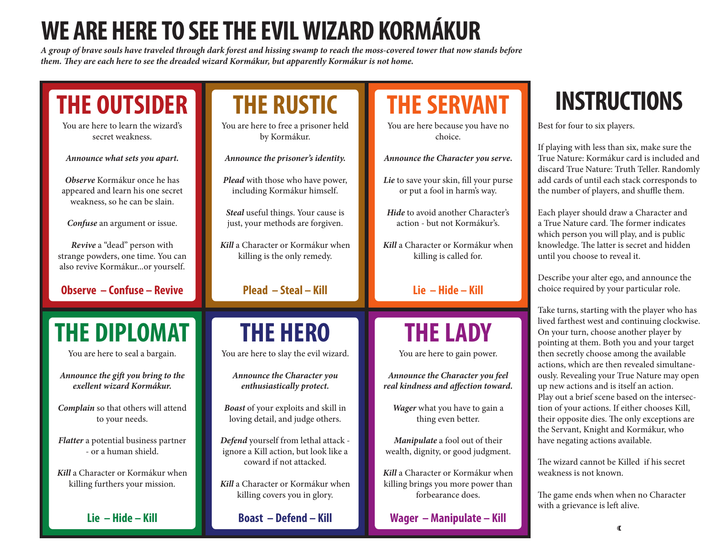## **WE ARE HERE TO SEE THE EVIL WIZARD KORMÁKUR**

*A group of brave souls have traveled through dark forest and hissing swamp to reach the moss-covered tower that now stands before them. They are each here to see the dreaded wizard Kormákur, but apparently Kormákur is not home.*

| <b>THE OUTSIDER</b><br>You are here to learn the wizard's<br>secret weakness.                         | <b>THE RUSTIC</b><br>You are here to free a prisoner held<br>by Kormákur. | <b>THE SERVANT</b><br>You are here because you have no<br>choice.      |
|-------------------------------------------------------------------------------------------------------|---------------------------------------------------------------------------|------------------------------------------------------------------------|
| Announce what sets you apart.                                                                         | Announce the prisoner's identity.                                         | Announce the Character you serve.                                      |
| Observe Kormákur once he has<br>appeared and learn his one secret<br>weakness, so he can be slain.    | Plead with those who have power,<br>including Kormákur himself.           | Lie to save your skin, fill your purse<br>or put a fool in harm's way. |
| Confuse an argument or issue.                                                                         | Steal useful things. Your cause is<br>just, your methods are forgiven.    | Hide to avoid another Character's<br>action - but not Kormákur's.      |
| Revive a "dead" person with<br>strange powders, one time. You can<br>also revive Kormákuror yourself. | Kill a Character or Kormákur when<br>killing is the only remedy.          | Kill a Character or Kormákur when<br>killing is called for.            |
| <b>Observe - Confuse - Revive</b>                                                                     | Plead - Steal - Kill                                                      | $Lie - Hide - Kill$                                                    |
|                                                                                                       |                                                                           |                                                                        |
| <b>THE DIPLOMAT</b>                                                                                   | <b>THE HERO</b>                                                           | <b>THE LADY</b>                                                        |
| You are here to seal a bargain.                                                                       | You are here to slay the evil wizard.                                     | You are here to gain power.                                            |
| Announce the gift you bring to the                                                                    | Announce the Character you                                                | Announce the Character you feel                                        |
| exellent wizard Kormákur.                                                                             | enthusiastically protect.                                                 | real kindness and affection toward.                                    |
| Complain so that others will attend<br>to your needs.                                                 | Boast of your exploits and skill in<br>loving detail, and judge others.   | Wager what you have to gain a<br>thing even better.                    |

*Kill* a Character or Kormákur when killing brings you more power than forbearance does.

**Wager – Manipulate – Kill**

## **INSTRUCTIONS**

Best for four to six players.

If playing with less than six, make sure the True Nature: Kormákur card is included and discard True Nature: Truth Teller. Randomly add cards of until each stack corresponds to the number of players, and shuffle them.

Each player should draw a Character and a True Nature card. The former indicates which person you will play, and is public knowledge. The latter is secret and hidden until you choose to reveal it.

Describe your alter ego, and announce the choice required by your particular role.

Take turns, starting with the player who has lived farthest west and continuing clockwise. On your turn, choose another player by pointing at them. Both you and your target then secretly choose among the available actions, which are then revealed simultaneously. Revealing your True Nature may open up new actions and is itself an action. Play out a brief scene based on the intersection of your actions. If either chooses Kill, their opposite dies. The only exceptions are the Servant, Knight and Kormákur, who have negating actions available.

The wizard cannot be Killed if his secret weakness is not known.

The game ends when when no Character with a grievance is left alive.

*Kill* a Character or Kormákur when killing furthers your mission.

**Lie – Hide – Kill**

*Kill* a Character or Kormákur when killing covers you in glory.

**Boast – Defend – Kill**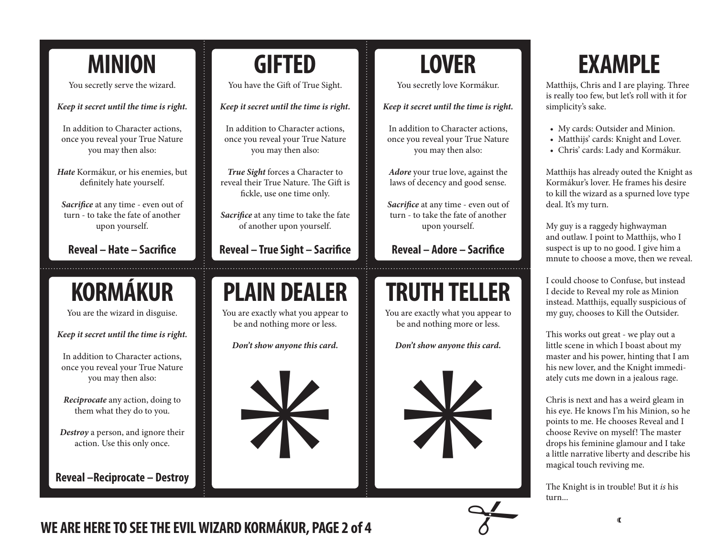#### **MINION**

You secretly serve the wizard.

*Keep it secret until the time is right.*

In addition to Character actions, once you reveal your True Nature you may then also:

*Hate* Kormákur, or his enemies, but definitely hate yourself.

*Sacrifice* at any time - even out of turn - to take the fate of another upon yourself.

**Reveal – Hate – Sacrifice**

#### **KORMÁKUR**

You are the wizard in disguise.

*Keep it secret until the time is right.*

In addition to Character actions, once you reveal your True Nature you may then also:

*Reciprocate* any action, doing to them what they do to you.

*Destroy* a person, and ignore their action. Use this only once.

**Reveal –Reciprocate – Destroy**

#### **GIFTED**

You have the Gift of True Sight.

*Keep it secret until the time is right.*

In addition to Character actions, once you reveal your True Nature you may then also:

*True Sight* forces a Character to reveal their True Nature. The Gift is fickle, use one time only.

*Sacrifice* at any time to take the fate of another upon yourself.

**Reveal – True Sight – Sacrifice**

#### **PLAIN DEALER**

You are exactly what you appear to be and nothing more or less.

*Don't show anyone this card.*



#### **LOVER**

You secretly love Kormákur.

#### *Keep it secret until the time is right.*

In addition to Character actions, once you reveal your True Nature you may then also:

*Adore* your true love, against the laws of decency and good sense.

*Sacrifice* at any time - even out of turn - to take the fate of another upon yourself.

**Reveal – Adore – Sacrifice**

#### **TRUTH TELLER**

You are exactly what you appear to be and nothing more or less.

*Don't show anyone this card.*



#### **EXAMPLE**

Matthijs, Chris and I are playing. Three is really too few, but let's roll with it for simplicity's sake.

- My cards: Outsider and Minion.
- Matthijs' cards: Knight and Lover.
- • Chris' cards: Lady and Kormákur.

Matthijs has already outed the Knight as Kormákur's lover. He frames his desire to kill the wizard as a spurned love type deal. It's my turn.

My guy is a raggedy highwayman and outlaw. I point to Matthijs, who I suspect is up to no good. I give him a mnute to choose a move, then we reveal.

I could choose to Confuse, but instead I decide to Reveal my role as Minion instead. Matthijs, equally suspicious of my guy, chooses to Kill the Outsider.

This works out great - we play out a little scene in which I boast about my master and his power, hinting that I am his new lover, and the Knight immediately cuts me down in a jealous rage.

Chris is next and has a weird gleam in his eye. He knows I'm his Minion, so he points to me. He chooses Reveal and I choose Revive on myself! The master drops his feminine glamour and I take a little narrative liberty and describe his magical touch reviving me.

The Knight is in trouble! But it *is* his turn...

WE ARE HERE TO SEE THE EVIL WIZARD KORMÁKUR, PAGE 2 of 4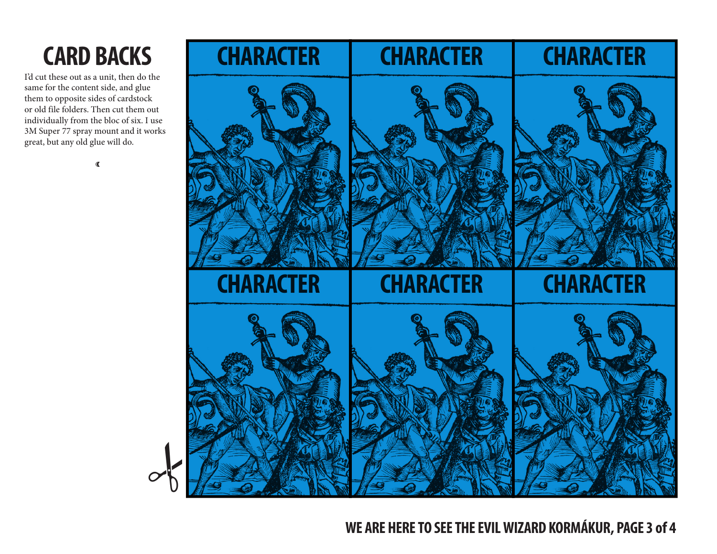## **CARD BACKS**

I'd cut these out as a unit, then do the same for the content side, and glue them to opposite sides of cardstock or old file folders. Then cut them out individually from the bloc of six. I use 3M Super 77 spray mount and it works great, but any old glue will do.

 $\mathbf{\mathcal{L}}$ 



**WE ARE HERE TO SEE THE EVIL WIZARD KORMÁKUR, PAGE 3 of 4**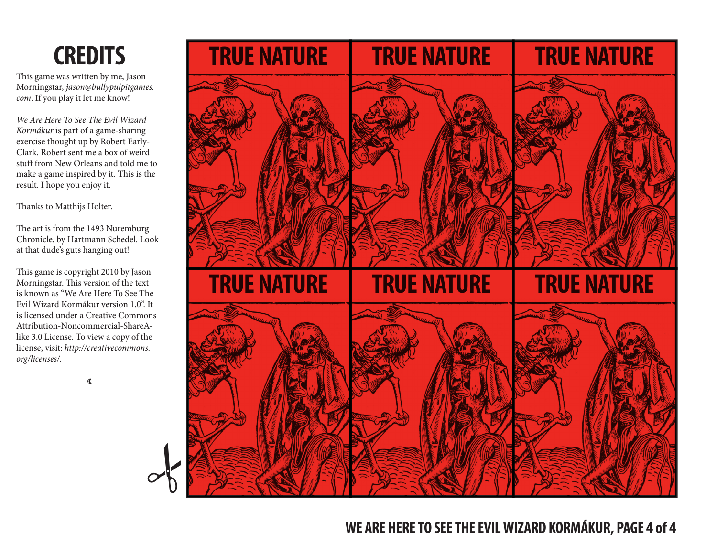#### **CREDITS**

This game was written by me, Jason Morningstar, *jason@bullypulpitgames. com*. If you play it let me know!

*We Are Here To See The Evil Wizard Kormákur* is part of a game-sharing exercise thought up by Robert Early-Clark. Robert sent me a box of weird stuff from New Orleans and told me to make a game inspired by it. This is the result. I hope you enjoy it.

Thanks to Matthijs Holter.

The art is from the 1493 Nuremburg Chronicle, by Hartmann Schedel. Look at that dude's guts hanging out!

This game is copyright 2010 by Jason Morningstar. This version of the text is known as "We Are Here To See The Evil Wizard Kormákur version 1.0". It is licensed under a Creative Commons Attribution-Noncommercial-ShareAlike 3.0 License. To view a copy of the license, visit: *http://creativecommons. org/licenses/.*

 $\mathbf{\mathcal{L}}$ 

#

**TRUE NATURE TRUE NATURE TRUE NATURE TRUE NATURE TRUE NATURE TRUE NATURE**

#### **WE ARE HERE TO SEE THE EVIL WIZARD KORMÁKUR, PAGE 4 of 4**